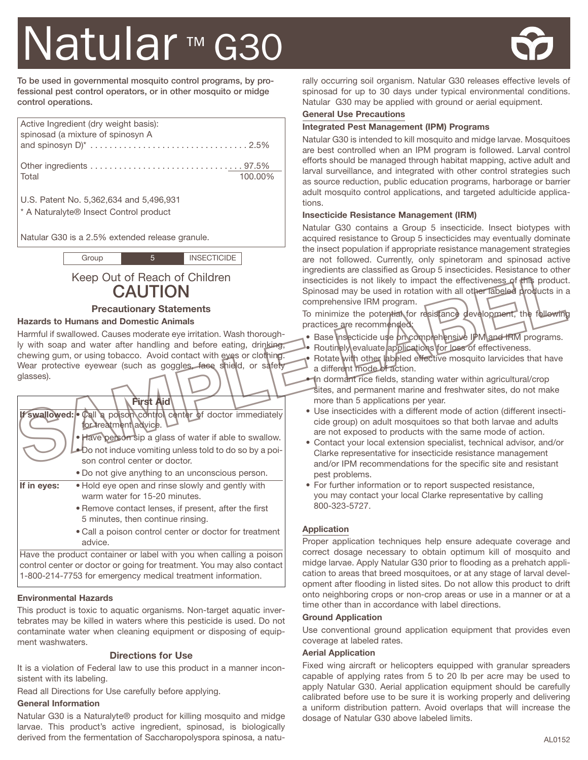# Natular<sup>™</sup> G30



**To be used in governmental mosquito control programs, by professional pest control operators, or in other mosquito or midge control operations.**

| Active Ingredient (dry weight basis):<br>spinosad (a mixture of spinosyn A                   |         |
|----------------------------------------------------------------------------------------------|---------|
| Total                                                                                        | 100.00% |
| U.S. Patent No. 5,362,634 and 5,496,931<br><sup>*</sup> A Naturalyte® Insect Control product |         |

Natular G30 is a 2.5% extended release granule.

| <b>INSECTICIDE</b><br>Group |
|-----------------------------|
|-----------------------------|

#### **Precautionary Statements**

#### **Hazards to Humans and Domestic Animals**

| Keep Out of Reach of Children<br><b>CAUTION</b>                                                                                                                                                                                                                                       | <u>INGLEDIENTS ALE CIASSINED AS CITUAD O INSECTICIDES. HESISTANCE TO OTHE</u><br>insecticides is not likely to impact the effectiveness of this product<br>Spinosad may be used in rotation with all other labeled products in a<br>comprehensive IRM program.                                                                                                                                                                                       |
|---------------------------------------------------------------------------------------------------------------------------------------------------------------------------------------------------------------------------------------------------------------------------------------|------------------------------------------------------------------------------------------------------------------------------------------------------------------------------------------------------------------------------------------------------------------------------------------------------------------------------------------------------------------------------------------------------------------------------------------------------|
| <b>Precautionary Statements</b>                                                                                                                                                                                                                                                       | To minimize the potential for resistance development, the following                                                                                                                                                                                                                                                                                                                                                                                  |
| <b>Hazards to Humans and Domestic Animals</b>                                                                                                                                                                                                                                         | practices are recommended:                                                                                                                                                                                                                                                                                                                                                                                                                           |
| Harmful if swallowed. Causes moderate eye irritation. Wash thorough-<br>ly with soap and water after handling and before eating, drinking,<br>chewing gum, or using tobacco. Avoid contact with eyes or clothing.<br>Wear protective eyewear (such as goggles, face shield, or safety | Base Insecticide use procomprehensive IPM and IRM programs.<br>Routinely evaluate applications for loss of effectiveness.<br>Rotate with other labeled effective mosquito larvicides that have<br>a different mode of action.                                                                                                                                                                                                                        |
| glasses).                                                                                                                                                                                                                                                                             | In dormant rice fields, standing water within agricultural/crop<br>sites, and permanent marine and freshwater sites, do not make                                                                                                                                                                                                                                                                                                                     |
| <b>Pirst Aid</b><br>If swallowed: call a poison control center of doctor immediately<br>for treatment\advice.<br>• Have person sip a glass of water if able to swallow.<br>-Do not induce vomiting unless told to do so by a poi-<br>son control center or doctor.                    | more than 5 applications per year.<br>• Use insecticides with a different mode of action (different insecti-<br>cide group) on adult mosquitoes so that both larvae and adults<br>are not exposed to products with the same mode of action.<br>• Contact your local extension specialist, technical advisor, and/or<br>Clarke representative for insecticide resistance management<br>and/or IPM recommendations for the specific site and resistant |
| • Do not give anything to an unconscious person.                                                                                                                                                                                                                                      | pest problems.                                                                                                                                                                                                                                                                                                                                                                                                                                       |
| If in eyes:<br>• Hold eye open and rinse slowly and gently with<br>warm water for 15-20 minutes.                                                                                                                                                                                      | • For further information or to report suspected resistance,<br>you may contact your local Clarke representative by calling                                                                                                                                                                                                                                                                                                                          |
| • Remove contact lenses, if present, after the first<br>5 minutes, then continue rinsing.                                                                                                                                                                                             | 800-323-5727.                                                                                                                                                                                                                                                                                                                                                                                                                                        |
| • Call a poison control center or doctor for treatment                                                                                                                                                                                                                                | <b>Application</b>                                                                                                                                                                                                                                                                                                                                                                                                                                   |

advice. Have the product container or label with you when calling a poison

control center or doctor or going for treatment. You may also contact 1-800-214-7753 for emergency medical treatment information.

# **Environmental Hazards**

This product is toxic to aquatic organisms. Non-target aquatic invertebrates may be killed in waters where this pesticide is used. Do not contaminate water when cleaning equipment or disposing of equipment washwaters.

# **Directions for Use**

It is a violation of Federal law to use this product in a manner inconsistent with its labeling.

Read all Directions for Use carefully before applying.

# **General Information**

Natular G30 is a Naturalyte® product for killing mosquito and midge larvae. This product's active ingredient, spinosad, is biologically derived from the fermentation of Saccharopolyspora spinosa, a naturally occurring soil organism. Natular G30 releases effective levels of spinosad for up to 30 days under typical environmental conditions. Natular G30 may be applied with ground or aerial equipment.

# **General Use Precautions**

#### **Integrated Pest Management (IPM) Programs**

Natular G30 is intended to kill mosquito and midge larvae. Mosquitoes are best controlled when an IPM program is followed. Larval control efforts should be managed through habitat mapping, active adult and larval surveillance, and integrated with other control strategies such as source reduction, public education programs, harborage or barrier adult mosquito control applications, and targeted adulticide applications.

#### **Insecticide Resistance Management (IRM)**

Natular G30 contains a Group 5 insecticide. Insect biotypes with acquired resistance to Group 5 insecticides may eventually dominate the insect population if appropriate resistance management strategies are not followed. Currently, only spinetoram and spinosad active ingredients are classified as Group 5 insecticides. Resistance to other insecticides is not likely to impact the effectiveness of this product. Spinosad may be used in rotation with all other labeled products in a comprehensive IRM program.

- Base insecticide use pricomprehensive IPM and IRM programs. • Routinely evaluate applications for loss of effectiveness.
- Rotate with other labeled effective mosquito larvicides that have a different mode of action.
- In dormant rice fields, standing water within agricultural/crop sites, and permanent marine and freshwater sites, do not make more than 5 applications per year.
- Use insecticides with a different mode of action (different insecticide group) on adult mosquitoes so that both larvae and adults are not exposed to products with the same mode of action.
- Contact your local extension specialist, technical advisor, and/or Clarke representative for insecticide resistance management and/or IPM recommendations for the specific site and resistant pest problems.
- For further information or to report suspected resistance, you may contact your local Clarke representative by calling 800-323-5727.

# **Application**

Proper application techniques help ensure adequate coverage and correct dosage necessary to obtain optimum kill of mosquito and midge larvae. Apply Natular G30 prior to flooding as a prehatch application to areas that breed mosquitoes, or at any stage of larval development after flooding in listed sites. Do not allow this product to drift onto neighboring crops or non-crop areas or use in a manner or at a time other than in accordance with label directions.

# **Ground Application**

Use conventional ground application equipment that provides even coverage at labeled rates.

# **Aerial Application**

Fixed wing aircraft or helicopters equipped with granular spreaders capable of applying rates from 5 to 20 lb per acre may be used to apply Natular G30. Aerial application equipment should be carefully calibrated before use to be sure it is working properly and delivering a uniform distribution pattern. Avoid overlaps that will increase the dosage of Natular G30 above labeled limits.